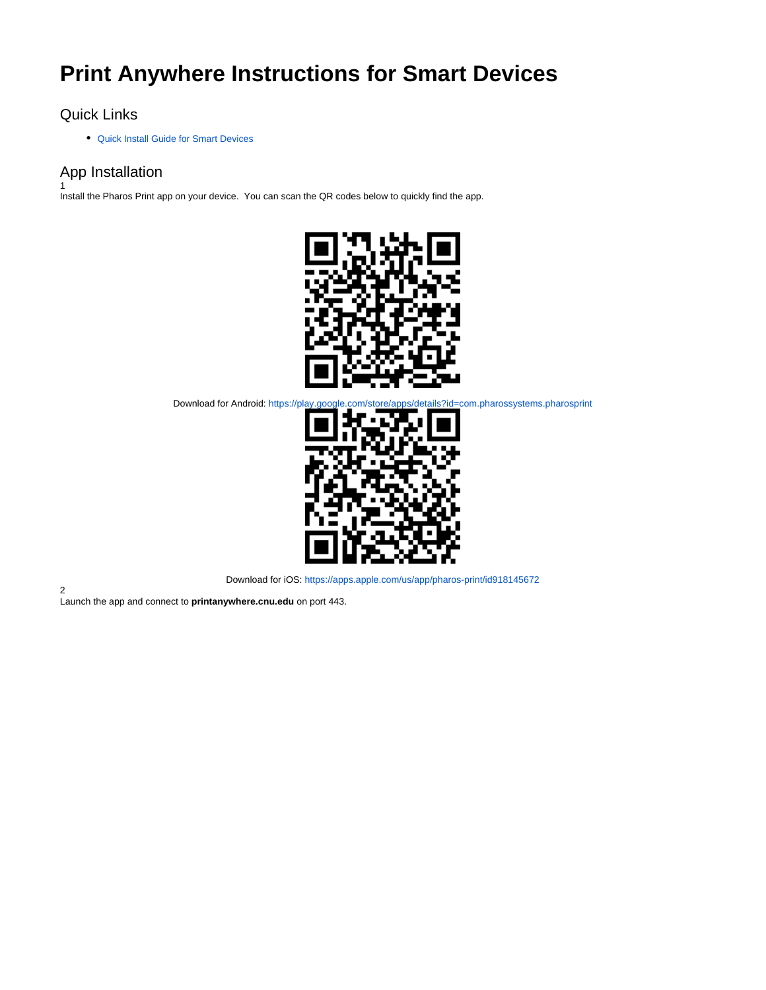# **Print Anywhere Instructions for Smart Devices**

## Quick Links

[Quick Install Guide for Smart Devices](https://confluence.cnu.edu/download/attachments/99746224/CNU-ITS-PrintAnywhere-SmartDevice.pdf?version=2&modificationDate=1615991243007&api=v2)

# App Installation

1 Install the Pharos Print app on your device. You can scan the QR codes below to quickly find the app.



Download for Android: <https://play.google.com/store/apps/details?id=com.pharossystems.pharosprint>



Download for iOS: <https://apps.apple.com/us/app/pharos-print/id918145672>

2 Launch the app and connect to **printanywhere.cnu.edu** on port 443.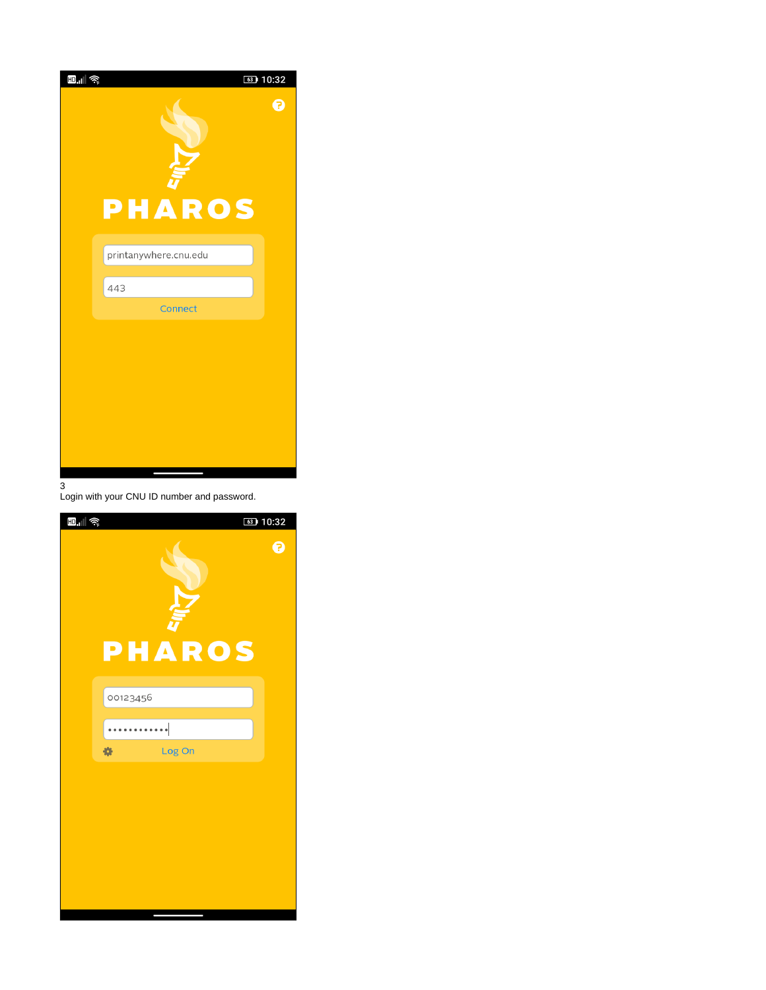

Login with your CNU ID number and password.

| $\mathbf{E}_{\mathbf{u}}$ $\approx$ | 63 10:32      |             |
|-------------------------------------|---------------|-------------|
|                                     | <b>PHAROS</b> | $\mathbf 0$ |
|                                     | 00123456      |             |
|                                     | 烧<br>Log On   |             |
|                                     |               |             |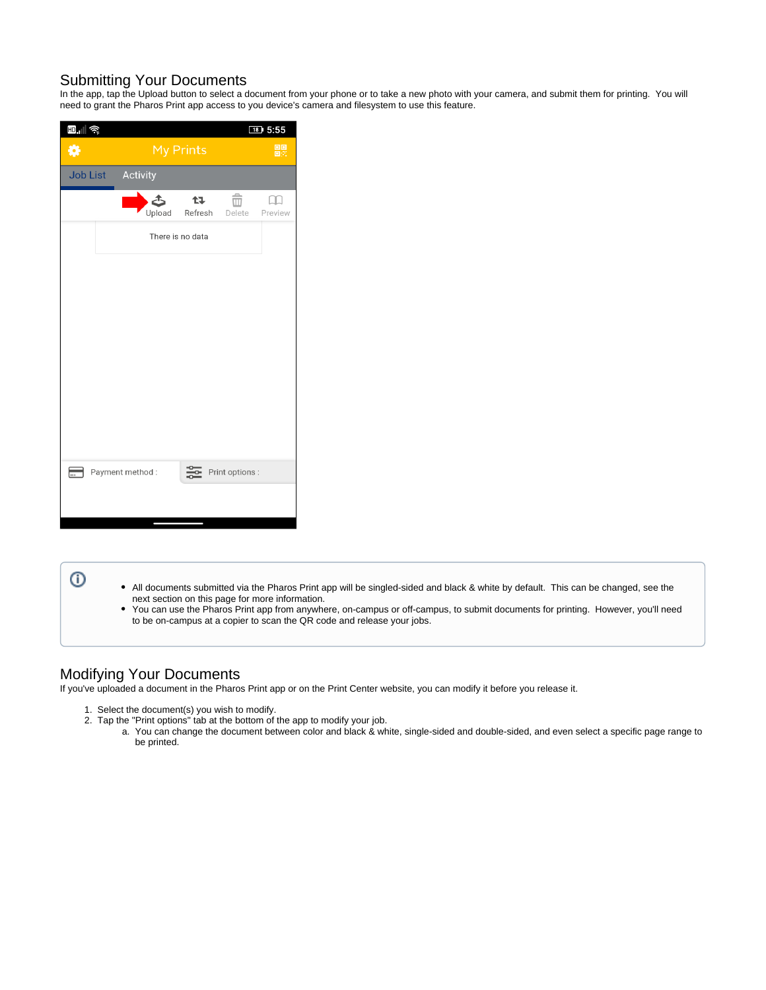#### Submitting Your Documents

In the app, tap the Upload button to select a document from your phone or to take a new photo with your camera, and submit them for printing. You will need to grant the Pharos Print app access to you device's camera and filesystem to use this feature.

| <b>b.</b> iii ș |                 |                  |             |           |  |                     | $18$ 5:55 |         |
|-----------------|-----------------|------------------|-------------|-----------|--|---------------------|-----------|---------|
| ₩               |                 |                  | My Prints   |           |  |                     |           | 體       |
| <b>Job List</b> |                 | Activity         |             |           |  |                     |           |         |
|                 |                 |                  | Œ<br>Upload | <b>t7</b> |  | m<br>Refresh Delete |           | Preview |
|                 |                 | There is no data |             |           |  |                     |           |         |
|                 |                 |                  |             |           |  |                     |           |         |
|                 |                 |                  |             |           |  |                     |           |         |
|                 |                 |                  |             |           |  |                     |           |         |
|                 |                 |                  |             |           |  |                     |           |         |
|                 |                 |                  |             |           |  |                     |           |         |
|                 |                 |                  |             |           |  |                     |           |         |
|                 |                 |                  |             |           |  |                     |           |         |
|                 |                 |                  |             |           |  |                     |           |         |
| ь.              | Payment method: |                  |             | 읉         |  | Print options :     |           |         |
|                 |                 |                  |             |           |  |                     |           |         |
|                 |                 |                  |             |           |  |                     |           |         |

#### $^\circledR$

- All documents submitted via the Pharos Print app will be singled-sided and black & white by default. This can be changed, see the next section on this page for more information.
- $\bullet$ You can use the Pharos Print app from anywhere, on-campus or off-campus, to submit documents for printing. However, you'll need to be on-campus at a copier to scan the QR code and release your jobs.

## Modifying Your Documents

If you've uploaded a document in the Pharos Print app or on the Print Center website, you can modify it before you release it.

- 1. 2. Select the document(s) you wish to modify.
	- Tap the "Print options" tab at the bottom of the app to modify your job.
		- a. You can change the document between color and black & white, single-sided and double-sided, and even select a specific page range to be printed.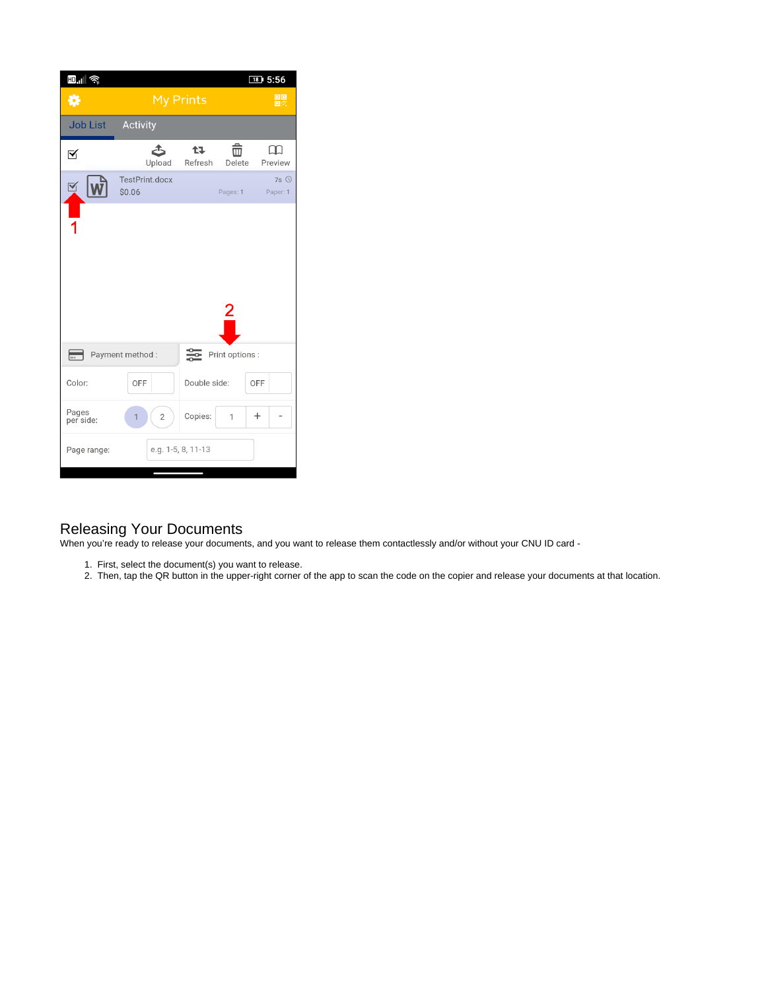| <b>b.</b> iii ș    |                          |                    |                 | $18$ 5:56                |
|--------------------|--------------------------|--------------------|-----------------|--------------------------|
| ₩                  | <b>My Prints</b>         | 體                  |                 |                          |
| <b>Job List</b>    | Activity                 |                    |                 |                          |
| ⊠                  | دگ<br>Upload             | 仕る<br>Refresh      | û<br>Delete     | LH 1<br>Preview          |
| ⊻َ                 | TestPrint.docx<br>\$0.06 |                    | Pages: 1        | $7s$ $\odot$<br>Paper: 1 |
|                    |                          |                    |                 |                          |
|                    |                          |                    |                 |                          |
|                    |                          |                    |                 |                          |
|                    |                          |                    |                 |                          |
| ⋿                  | Payment method:          | ≋                  | Print options : |                          |
| Color:             | OFF                      | Double side:       |                 | OFF                      |
| Pages<br>per side: | $\overline{2}$<br>1      | Copies:            | $\mathbf{1}$    | $\pm$                    |
| Page range:        |                          | e.g. 1-5, 8, 11-13 |                 |                          |

## Releasing Your Documents

When you're ready to release your documents, and you want to release them contactlessly and/or without your CNU ID card -

- 1. First, select the document(s) you want to release.
- 2. Then, tap the QR button in the upper-right corner of the app to scan the code on the copier and release your documents at that location.